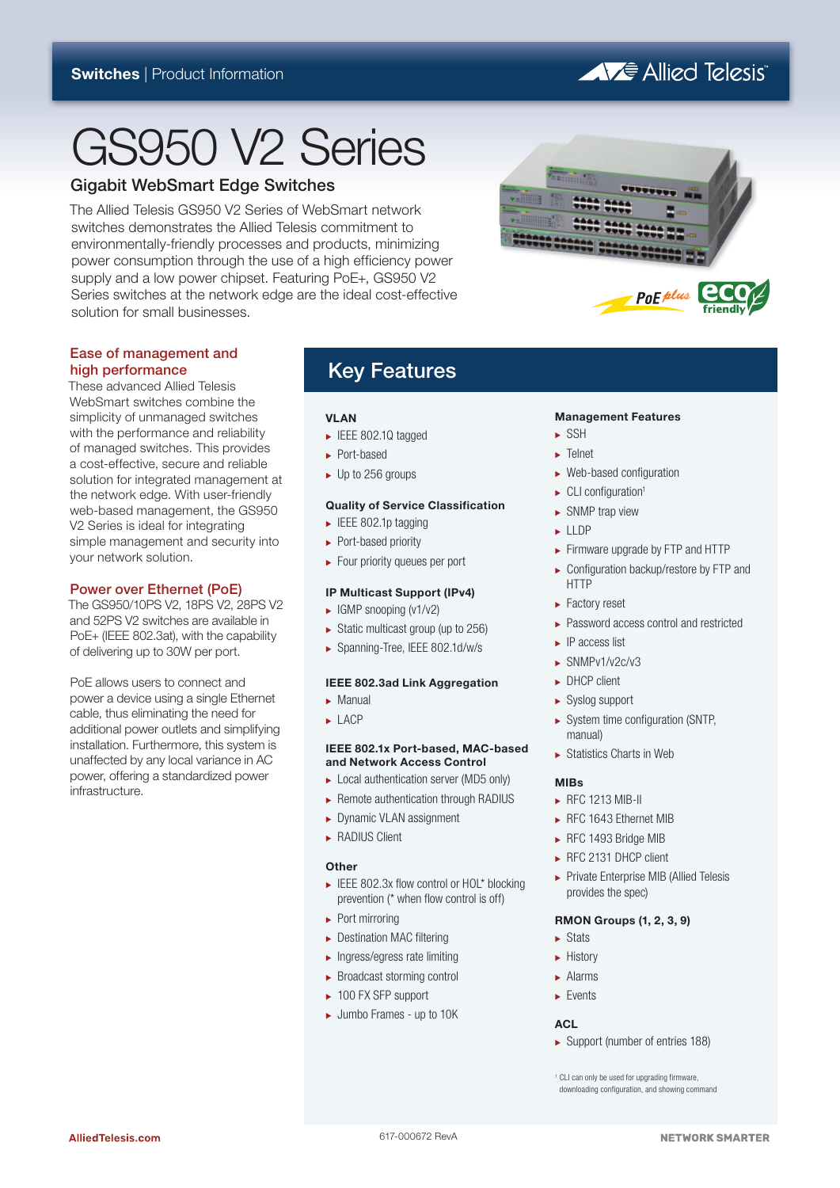# A Fe Allied Telesis

# GS950 V2 Series

### Gigabit WebSmart Edge Switches

The Allied Telesis GS950 V2 Series of WebSmart network switches demonstrates the Allied Telesis commitment to environmentally-friendly processes and products, minimizing power consumption through the use of a high efficiency power supply and a low power chipset. Featuring PoE+, GS950 V2 Series switches at the network edge are the ideal cost-effective solution for small businesses.



### Ease of management and high performance

These advanced Allied Telesis WebSmart switches combine the simplicity of unmanaged switches with the performance and reliability of managed switches. This provides a cost-effective, secure and reliable solution for integrated management at the network edge. With user-friendly web-based management, the GS950 V2 Series is ideal for integrating simple management and security into your network solution.

### Power over Ethernet (PoE)

The GS950/10PS V2, 18PS V2, 28PS V2 and 52PS V2 switches are available in PoE+ (IEEE 802.3at), with the capability of delivering up to 30W per port.

PoE allows users to connect and power a device using a single Ethernet cable, thus eliminating the need for additional power outlets and simplifying installation. Furthermore, this system is unaffected by any local variance in AC power, offering a standardized power infrastructure.

## Key Features

### **VI AN**

- IEEE 802.1Q tagged
- ► Port-based
- $\blacktriangleright$  Up to 256 groups

### **Quality of Service Classification**

- $\blacktriangleright$  IEEE 802.1p tagging
- ► Port-based priority
- ۼ Four priority queues per port

### **IP Multicast Support (IPv4)**

- $\blacktriangleright$  IGMP snooping (v1/v2)
- $\triangleright$  Static multicast group (up to 256)
- ۼ Spanning-Tree, IEEE 802.1d/w/s

### **IEEE 802.3ad Link Aggregation**

- Manual ۼ
- $\blacktriangleright$  LACP

### **IEEE 802.1x Port-based, MAC-based and Network Access Control**

- ► Local authentication server (MD5 only)
- ► Remote authentication through RADIUS
- ► Dynamic VLAN assignment
- **RADIUS Client**

### **Other**

- ► IEEE 802.3x flow control or HOL\* blocking prevention (\* when flow control is off)
- $\blacktriangleright$  Port mirroring
- ► Destination MAC filtering
- ۼ Ingress/egress rate limiting
- ۼ Broadcast storming control
- ۼ 100 FX SFP support
- ۼ Jumbo Frames up to 10K

### **Management Features**

- $\triangleright$  SSH
- $\blacktriangleright$  Telnet
- $\blacktriangleright$  Web-based configuration
- $\blacktriangleright$  CLI configuration<sup>1</sup>
- $\blacktriangleright$  SNMP trap view
- **LLDP**
- ► Firmware upgrade by FTP and HTTP
- ► Configuration backup/restore by FTP and HTTP
- ► Factory reset
- ► Password access control and restricted
- ۼ IP access list
- $\blacktriangleright$  SNMPv1/v2c/v3
- **DHCP client**
- ۼ Syslog support
- $\blacktriangleright$  System time configuration (SNTP, manual)
- ۼ Statistics Charts in Web

### **MIBs**

- **► RFC 1213 MIB-II**
- ► RFC 1643 Ethernet MIB
- ► RFC 1493 Bridge MIB
- ► RFC 2131 DHCP client
- ۼ Private Enterprise MIB (Allied Telesis provides the spec)

### **RMON Groups (1, 2, 3, 9)**

- $\blacktriangleright$  Stats
- **+ History**
- $\blacktriangleright$  Alarms
- $\blacktriangleright$  Fvents

### **ACL**

ۼ Support (number of entries 188)

1 CLI can only be used for upgrading firmware, downloading configuration, and showing command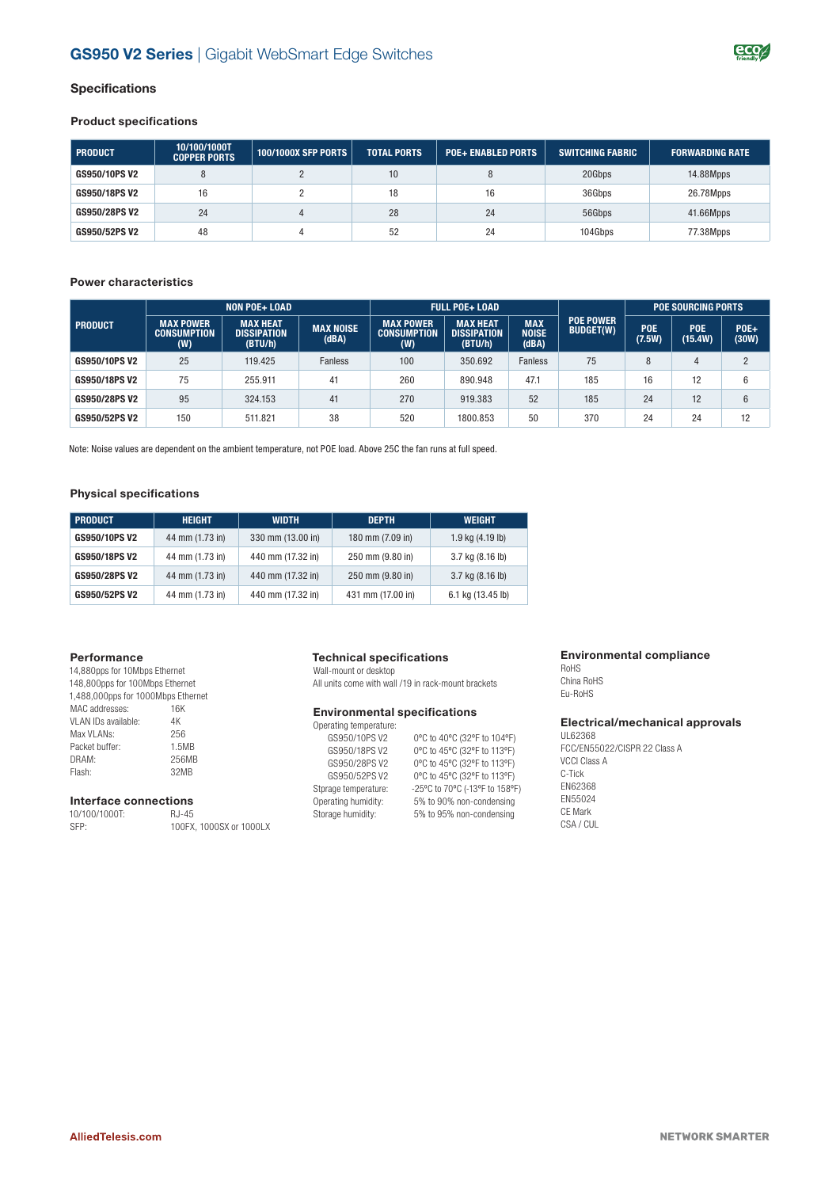

### **Specifications**

### **Product specifications**

| <b>PRODUCT</b> | 10/100/1000T<br><b>COPPER PORTS</b> | 100/1000X SFP PORTS | <b>TOTAL PORTS</b> | <b>POE+ ENABLED PORTS</b> | <b>SWITCHING FABRIC</b> | <b>FORWARDING RATE</b> |
|----------------|-------------------------------------|---------------------|--------------------|---------------------------|-------------------------|------------------------|
| GS950/10PS V2  |                                     |                     | 10                 |                           | 20Gbps                  | 14.88Mpps              |
| GS950/18PS V2  | 16                                  |                     | 18                 | 16                        | 36Gbps                  | 26.78Mpps              |
| GS950/28PS V2  | 24                                  |                     | 28                 | 24                        | 56Gbps                  | 41.66Mpps              |
| GS950/52PS V2  | 48                                  |                     | 52                 | 24                        | 104Gbps                 | 77.38Mpps              |

### **Power characteristics**

|                | <b>NON POE+ LOAD</b>                          |                                                  | <b>FULL POE+ LOAD</b>     |                                               |                                                  |                              | <b>POE SOURCING PORTS</b>            |                      |                       |                 |
|----------------|-----------------------------------------------|--------------------------------------------------|---------------------------|-----------------------------------------------|--------------------------------------------------|------------------------------|--------------------------------------|----------------------|-----------------------|-----------------|
| <b>PRODUCT</b> | <b>MAX POWER</b><br><b>CONSUMPTION</b><br>(W) | <b>MAX HEAT</b><br><b>DISSIPATION</b><br>(BTU/h) | <b>MAX NOISE</b><br>(dBA) | <b>MAX POWER</b><br><b>CONSUMPTION</b><br>(W) | <b>MAX HEAT</b><br><b>DISSIPATION</b><br>(BTU/h) | <b>MAX</b><br>NOISE<br>(dBA) | <b>POE POWER</b><br><b>BUDGET(W)</b> | <b>POE</b><br>(7.5W) | <b>POE</b><br>(15.4W) | $POE+$<br>(30W) |
| GS950/10PS V2  | 25                                            | 119.425                                          | <b>Fanless</b>            | 100                                           | 350.692                                          | <b>Fanless</b>               | 75                                   | 8                    | Д                     | C               |
| GS950/18PS V2  | 75                                            | 255.911                                          | 41                        | 260                                           | 890.948                                          | 47.1                         | 185                                  | 16                   | 12                    | 6               |
| GS950/28PS V2  | 95                                            | 324.153                                          | 41                        | 270                                           | 919.383                                          | 52                           | 185                                  | 24                   | 12                    | 6               |
| GS950/52PS V2  | 150                                           | 511.821                                          | 38                        | 520                                           | 1800.853                                         | 50                           | 370                                  | 24                   | 24                    | 12              |

Note: Noise values are dependent on the ambient temperature, not POE load. Above 25C the fan runs at full speed.

### **Physical specifications**

| <b>PRODUCT</b> | <b>HEIGHT</b>   | <b>WIDTH</b>      | <b>DEPTH</b>      | <b>WEIGHT</b>        |
|----------------|-----------------|-------------------|-------------------|----------------------|
| GS950/10PS V2  | 44 mm (1.73 in) | 330 mm (13.00 in) | 180 mm (7.09 in)  | $1.9$ kg $(4.19$ lb) |
| GS950/18PS V2  | 44 mm (1.73 in) | 440 mm (17.32 in) | 250 mm (9.80 in)  | 3.7 kg (8.16 lb)     |
| GS950/28PS V2  | 44 mm (1.73 in) | 440 mm (17.32 in) | 250 mm (9.80 in)  | 3.7 kg (8.16 lb)     |
| GS950/52PS V2  | 44 mm (1.73 in) | 440 mm (17.32 in) | 431 mm (17.00 in) | 6.1 kg (13.45 lb)    |

### **Performance**

| 14,880pps for 10Mbps Ethernet      |       |  |  |
|------------------------------------|-------|--|--|
| 148,800pps for 100Mbps Ethernet    |       |  |  |
| 1,488,000pps for 1000Mbps Ethernet |       |  |  |
| MAC addresses:                     | 16K   |  |  |
| VI AN IDs available:               | 4K    |  |  |
| Max VI ANs:                        | 256   |  |  |
| Packet buffer:                     | 1.5MB |  |  |
| DRAM:                              | 256MB |  |  |
| Flash:                             | 32MB  |  |  |

### **Interface connections** 10/100/1000T:

| 10/100/1000T: | RJ-45                   |
|---------------|-------------------------|
| SFP:          | 100FX, 1000SX or 1000LX |

### **Technical specifications**

Wall-mount or desktop All units come with wall /19 in rack-mount brackets

### **Environmental specifications**

| Operating temperature: |                                |
|------------------------|--------------------------------|
| GS950/10PS V2          | 0°C to 40°C (32°F to 104°F)    |
| GS950/18PS V2          | 0°C to 45°C (32°F to 113°F)    |
| GS950/28PS V2          | 0°C to 45°C (32°F to 113°F)    |
| GS950/52PS V2          | 0°C to 45°C (32°F to 113°F)    |
| Stprage temperature:   | -25°C to 70°C (-13°F to 158°F) |
| Operating humidity:    | 5% to 90% non-condensing       |
| Storage humidity:      | 5% to 95% non-condensing       |

### **Environmental compliance**

RoHS China RoHS Eu-RoHS

### **Electrical/mechanical approvals**

UL62368 FCC/EN55022/CISPR 22 Class A VCCI Class A C-Tick EN62368 EN55024 CE Mark CSA / CUL